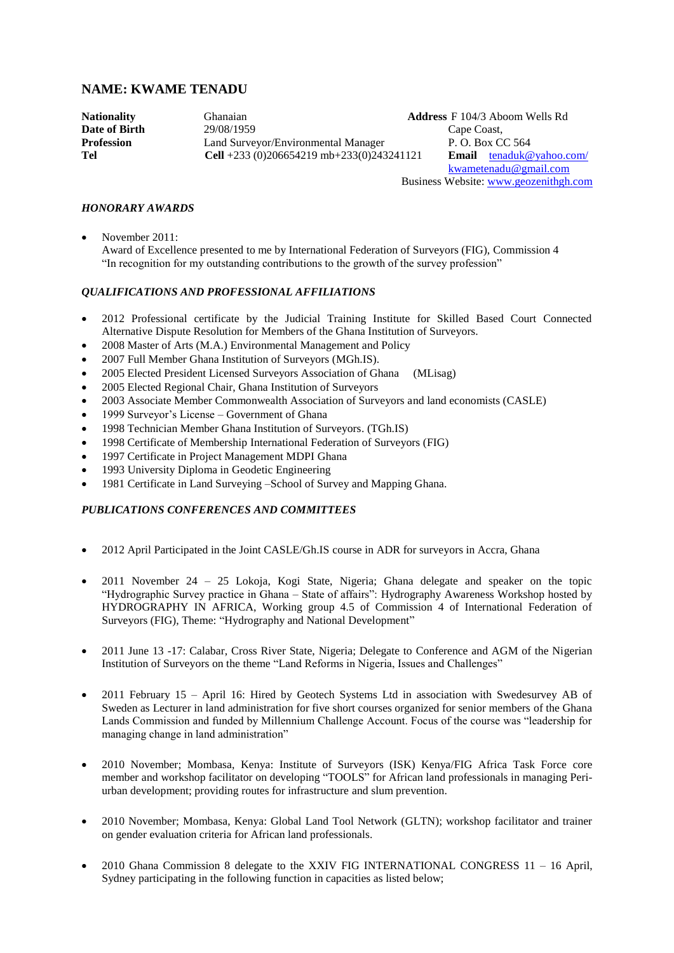# **NAME: KWAME TENADU**

**Date of Birth** 29/08/1959 Cape Coast,<br> **Profession** Land Surveyor/Environmental Manager P.O. Box Co. Land Surveyor/Environmental Manager<br> **Cell** +233 (0)206654219 mb+233(0)243241121<br> **Email** tenaduk@vahoo.com/ **Tel Cell** +233 (0)206654219 mb+233(0)243241121

**Nationality** Ghanaian **Address** F 104/3 Aboom Wells Rd [kwametenadu@gmail.com](mailto:kwametenadu@gmail.com) Business Website[: www.geozenithgh.com](http://www.geozenithgh.com/)

# *HONORARY AWARDS*

• November 2011: Award of Excellence presented to me by International Federation of Surveyors (FIG), Commission 4 "In recognition for my outstanding contributions to the growth of the survey profession"

# *QUALIFICATIONS AND PROFESSIONAL AFFILIATIONS*

- 2012 Professional certificate by the Judicial Training Institute for Skilled Based Court Connected Alternative Dispute Resolution for Members of the Ghana Institution of Surveyors.
- 2008 Master of Arts (M.A.) Environmental Management and Policy
- 2007 Full Member Ghana Institution of Surveyors (MGh.IS).
- 2005 Elected President Licensed Surveyors Association of Ghana (MLisag)
- 2005 Elected Regional Chair, Ghana Institution of Surveyors
- 2003 Associate Member Commonwealth Association of Surveyors and land economists (CASLE)
- 1999 Surveyor's License Government of Ghana
- 1998 Technician Member Ghana Institution of Surveyors. (TGh.IS)
- 1998 Certificate of Membership International Federation of Surveyors (FIG)
- 1997 Certificate in Project Management MDPI Ghana
- 1993 University Diploma in Geodetic Engineering
- 1981 Certificate in Land Surveying –School of Survey and Mapping Ghana.

# *PUBLICATIONS CONFERENCES AND COMMITTEES*

- 2012 April Participated in the Joint CASLE/Gh.IS course in ADR for surveyors in Accra, Ghana
- 2011 November 24 25 Lokoja, Kogi State, Nigeria; Ghana delegate and speaker on the topic "Hydrographic Survey practice in Ghana – State of affairs": Hydrography Awareness Workshop hosted by HYDROGRAPHY IN AFRICA, Working group 4.5 of Commission 4 of International Federation of Surveyors (FIG), Theme: "Hydrography and National Development"
- 2011 June 13 -17: Calabar, Cross River State, Nigeria; Delegate to Conference and AGM of the Nigerian Institution of Surveyors on the theme "Land Reforms in Nigeria, Issues and Challenges"
- 2011 February 15 April 16: Hired by Geotech Systems Ltd in association with Swedesurvey AB of Sweden as Lecturer in land administration for five short courses organized for senior members of the Ghana Lands Commission and funded by Millennium Challenge Account. Focus of the course was "leadership for managing change in land administration"
- 2010 November; Mombasa, Kenya: Institute of Surveyors (ISK) Kenya/FIG Africa Task Force core member and workshop facilitator on developing "TOOLS" for African land professionals in managing Periurban development; providing routes for infrastructure and slum prevention.
- 2010 November; Mombasa, Kenya: Global Land Tool Network (GLTN); workshop facilitator and trainer on gender evaluation criteria for African land professionals.
- 2010 Ghana Commission 8 delegate to the XXIV FIG INTERNATIONAL CONGRESS 11 16 April, Sydney participating in the following function in capacities as listed below;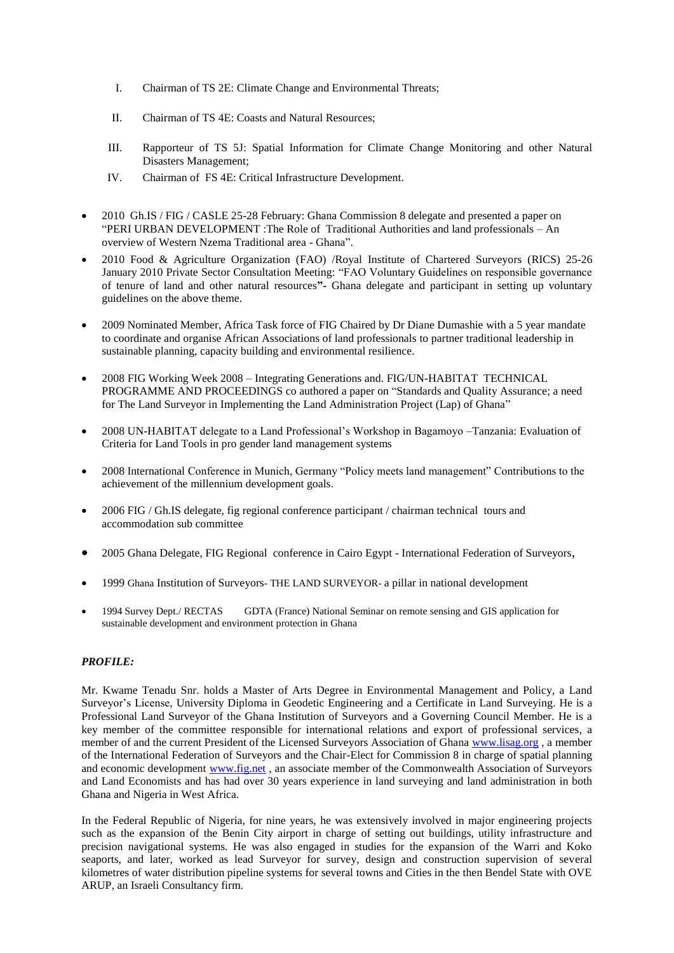- I. Chairman of TS 2E: Climate Change and Environmental Threats;
- II. Chairman of TS 4E: Coasts and Natural Resources;
- III. Rapporteur of TS 5J: Spatial Information for Climate Change Monitoring and other Natural Disasters Management;
- IV. Chairman of FS 4E: Critical Infrastructure Development.
- 2010 Gh.IS / FIG / CASLE 25-28 February: Ghana Commission 8 delegate and presented a paper on "PERI URBAN DEVELOPMENT :The Role of Traditional Authorities and land professionals – An overview of Western Nzema Traditional area - Ghana".
- 2010 Food & Agriculture Organization (FAO) /Royal Institute of Chartered Surveyors (RICS) 25-26 January 2010 Private Sector Consultation Meeting: "FAO Voluntary Guidelines on responsible governance of tenure of land and other natural resources**"-** Ghana delegate and participant in setting up voluntary guidelines on the above theme.
- 2009 Nominated Member, Africa Task force of FIG Chaired by Dr Diane Dumashie with a 5 year mandate to coordinate and organise African Associations of land professionals to partner traditional leadership in sustainable planning, capacity building and environmental resilience.
- 2008 FIG Working Week 2008 Integrating Generations and. FIG/UN-HABITAT TECHNICAL PROGRAMME AND PROCEEDINGS co authored a paper on "Standards and Quality Assurance; a need for The Land Surveyor in Implementing the Land Administration Project (Lap) of Ghana"
- 2008 UN-HABITAT delegate to a Land Professional's Workshop in Bagamoyo –Tanzania: Evaluation of Criteria for Land Tools in pro gender land management systems
- 2008 International Conference in Munich, Germany "Policy meets land management" Contributions to the achievement of the millennium development goals.
- 2006 FIG / Gh.IS delegate, fig regional conference participant / chairman technical tours and accommodation sub committee
- 2005 Ghana Delegate, FIG Regional conference in Cairo Egypt International Federation of Surveyors,
- 1999 Ghana Institution of Surveyors- THE LAND SURVEYOR- a pillar in national development
- 1994 Survey Dept./ RECTAS GDTA (France) National Seminar on remote sensing and GIS application for sustainable development and environment protection in Ghana

# *PROFILE:*

Mr. Kwame Tenadu Snr. holds a Master of Arts Degree in Environmental Management and Policy, a Land Surveyor's License, University Diploma in Geodetic Engineering and a Certificate in Land Surveying. He is a Professional Land Surveyor of the Ghana Institution of Surveyors and a Governing Council Member. He is a key member of the committee responsible for international relations and export of professional services, a member of and the current President of the Licensed Surveyors Association of Ghana [www.lisag.org](http://www.lisag.org/) , a member of the International Federation of Surveyors and the Chair-Elect for Commission 8 in charge of spatial planning and economic development [www.fig.net](http://www.fig.net/), an associate member of the Commonwealth Association of Surveyors and Land Economists and has had over 30 years experience in land surveying and land administration in both Ghana and Nigeria in West Africa.

In the Federal Republic of Nigeria, for nine years, he was extensively involved in major engineering projects such as the expansion of the Benin City airport in charge of setting out buildings, utility infrastructure and precision navigational systems. He was also engaged in studies for the expansion of the Warri and Koko seaports, and later, worked as lead Surveyor for survey, design and construction supervision of several kilometres of water distribution pipeline systems for several towns and Cities in the then Bendel State with OVE ARUP, an Israeli Consultancy firm.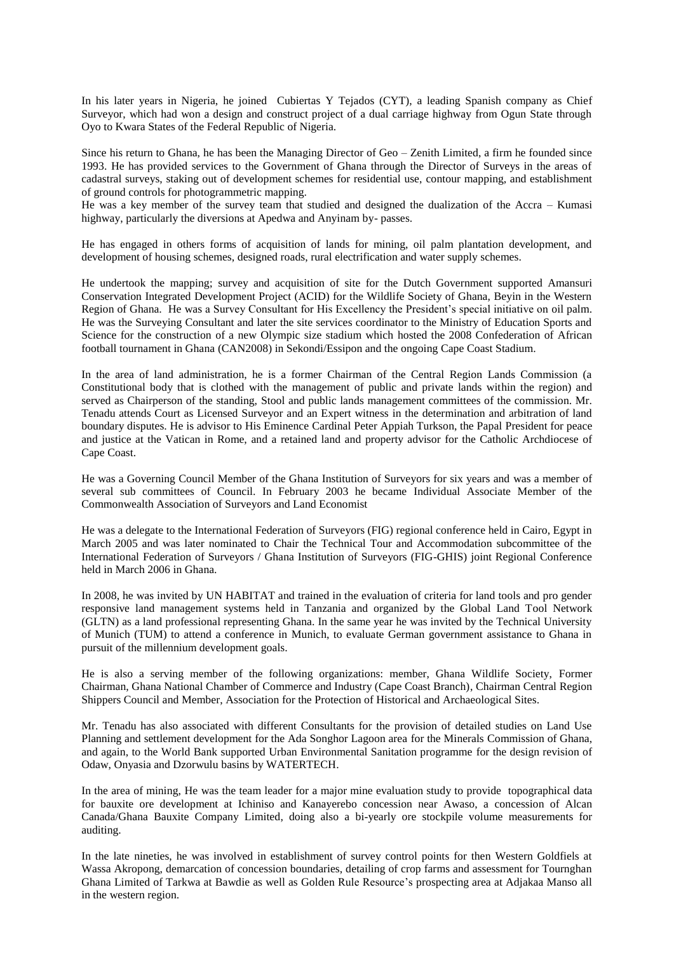In his later years in Nigeria, he joined Cubiertas Y Tejados (CYT), a leading Spanish company as Chief Surveyor, which had won a design and construct project of a dual carriage highway from Ogun State through Oyo to Kwara States of the Federal Republic of Nigeria.

Since his return to Ghana, he has been the Managing Director of Geo – Zenith Limited, a firm he founded since 1993. He has provided services to the Government of Ghana through the Director of Surveys in the areas of cadastral surveys, staking out of development schemes for residential use, contour mapping, and establishment of ground controls for photogrammetric mapping.

He was a key member of the survey team that studied and designed the dualization of the Accra – Kumasi highway, particularly the diversions at Apedwa and Anyinam by- passes.

He has engaged in others forms of acquisition of lands for mining, oil palm plantation development, and development of housing schemes, designed roads, rural electrification and water supply schemes.

He undertook the mapping; survey and acquisition of site for the Dutch Government supported Amansuri Conservation Integrated Development Project (ACID) for the Wildlife Society of Ghana, Beyin in the Western Region of Ghana. He was a Survey Consultant for His Excellency the President's special initiative on oil palm. He was the Surveying Consultant and later the site services coordinator to the Ministry of Education Sports and Science for the construction of a new Olympic size stadium which hosted the 2008 Confederation of African football tournament in Ghana (CAN2008) in Sekondi/Essipon and the ongoing Cape Coast Stadium.

In the area of land administration, he is a former Chairman of the Central Region Lands Commission (a Constitutional body that is clothed with the management of public and private lands within the region) and served as Chairperson of the standing, Stool and public lands management committees of the commission. Mr. Tenadu attends Court as Licensed Surveyor and an Expert witness in the determination and arbitration of land boundary disputes. He is advisor to His Eminence Cardinal Peter Appiah Turkson, the Papal President for peace and justice at the Vatican in Rome, and a retained land and property advisor for the Catholic Archdiocese of Cape Coast.

He was a Governing Council Member of the Ghana Institution of Surveyors for six years and was a member of several sub committees of Council. In February 2003 he became Individual Associate Member of the Commonwealth Association of Surveyors and Land Economist

He was a delegate to the International Federation of Surveyors (FIG) regional conference held in Cairo, Egypt in March 2005 and was later nominated to Chair the Technical Tour and Accommodation subcommittee of the International Federation of Surveyors / Ghana Institution of Surveyors (FIG-GHIS) joint Regional Conference held in March 2006 in Ghana.

In 2008, he was invited by UN HABITAT and trained in the evaluation of criteria for land tools and pro gender responsive land management systems held in Tanzania and organized by the Global Land Tool Network (GLTN) as a land professional representing Ghana. In the same year he was invited by the Technical University of Munich (TUM) to attend a conference in Munich, to evaluate German government assistance to Ghana in pursuit of the millennium development goals.

He is also a serving member of the following organizations: member, Ghana Wildlife Society, Former Chairman, Ghana National Chamber of Commerce and Industry (Cape Coast Branch), Chairman Central Region Shippers Council and Member, Association for the Protection of Historical and Archaeological Sites.

Mr. Tenadu has also associated with different Consultants for the provision of detailed studies on Land Use Planning and settlement development for the Ada Songhor Lagoon area for the Minerals Commission of Ghana, and again, to the World Bank supported Urban Environmental Sanitation programme for the design revision of Odaw, Onyasia and Dzorwulu basins by WATERTECH.

In the area of mining, He was the team leader for a major mine evaluation study to provide topographical data for bauxite ore development at Ichiniso and Kanayerebo concession near Awaso, a concession of Alcan Canada/Ghana Bauxite Company Limited, doing also a bi-yearly ore stockpile volume measurements for auditing.

In the late nineties, he was involved in establishment of survey control points for then Western Goldfiels at Wassa Akropong, demarcation of concession boundaries, detailing of crop farms and assessment for Tournghan Ghana Limited of Tarkwa at Bawdie as well as Golden Rule Resource's prospecting area at Adjakaa Manso all in the western region.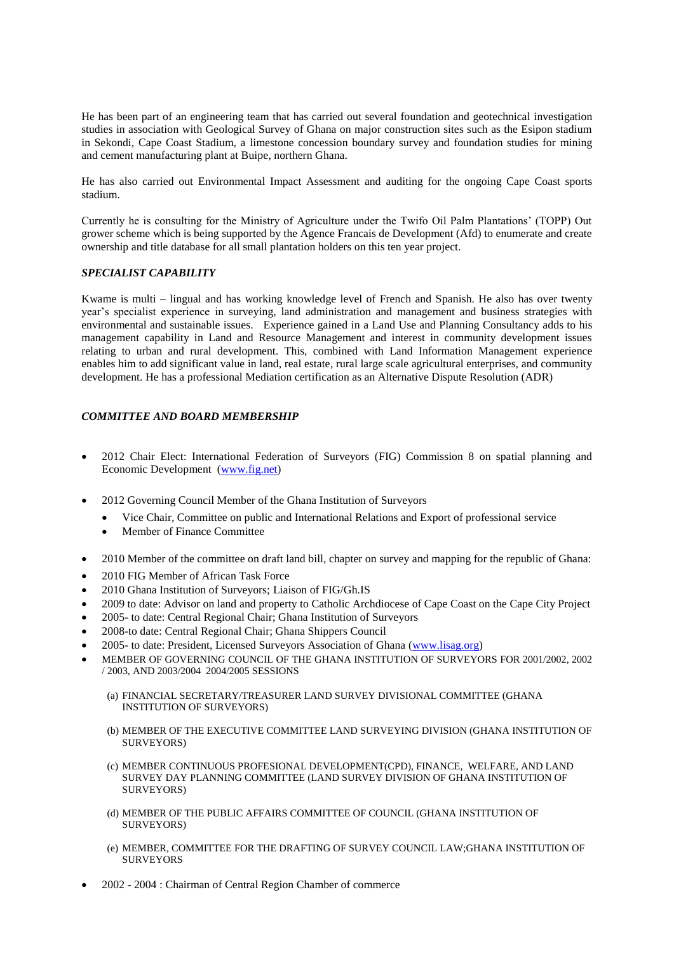He has been part of an engineering team that has carried out several foundation and geotechnical investigation studies in association with Geological Survey of Ghana on major construction sites such as the Esipon stadium in Sekondi, Cape Coast Stadium, a limestone concession boundary survey and foundation studies for mining and cement manufacturing plant at Buipe, northern Ghana.

He has also carried out Environmental Impact Assessment and auditing for the ongoing Cape Coast sports stadium.

Currently he is consulting for the Ministry of Agriculture under the Twifo Oil Palm Plantations' (TOPP) Out grower scheme which is being supported by the Agence Francais de Development (Afd) to enumerate and create ownership and title database for all small plantation holders on this ten year project.

# *SPECIALIST CAPABILITY*

Kwame is multi – lingual and has working knowledge level of French and Spanish. He also has over twenty year's specialist experience in surveying, land administration and management and business strategies with environmental and sustainable issues. Experience gained in a Land Use and Planning Consultancy adds to his management capability in Land and Resource Management and interest in community development issues relating to urban and rural development. This, combined with Land Information Management experience enables him to add significant value in land, real estate, rural large scale agricultural enterprises, and community development. He has a professional Mediation certification as an Alternative Dispute Resolution (ADR)

# *COMMITTEE AND BOARD MEMBERSHIP*

- 2012 Chair Elect: International Federation of Surveyors (FIG) Commission 8 on spatial planning and Economic Development [\(www.fig.net\)](http://www.fig.net/)
- 2012 Governing Council Member of the Ghana Institution of Surveyors
	- Vice Chair, Committee on public and International Relations and Export of professional service
	- Member of Finance Committee
- 2010 Member of the committee on draft land bill, chapter on survey and mapping for the republic of Ghana:
- 2010 FIG Member of African Task Force
- 2010 Ghana Institution of Surveyors; Liaison of FIG/Gh.IS
- 2009 to date: Advisor on land and property to Catholic Archdiocese of Cape Coast on the Cape City Project
- 2005- to date: Central Regional Chair; Ghana Institution of Surveyors
- 2008-to date: Central Regional Chair; Ghana Shippers Council
- 2005- to date: President, Licensed Surveyors Association of Ghana [\(www.lisag.org\)](http://www.lisag.org/)
- MEMBER OF GOVERNING COUNCIL OF THE GHANA INSTITUTION OF SURVEYORS FOR 2001/2002, 2002 / 2003, AND 2003/2004 2004/2005 SESSIONS
	- (a) FINANCIAL SECRETARY/TREASURER LAND SURVEY DIVISIONAL COMMITTEE (GHANA INSTITUTION OF SURVEYORS)
	- (b) MEMBER OF THE EXECUTIVE COMMITTEE LAND SURVEYING DIVISION (GHANA INSTITUTION OF SURVEYORS)
	- (c) MEMBER CONTINUOUS PROFESIONAL DEVELOPMENT(CPD), FINANCE, WELFARE, AND LAND SURVEY DAY PLANNING COMMITTEE (LAND SURVEY DIVISION OF GHANA INSTITUTION OF SURVEYORS)
	- (d) MEMBER OF THE PUBLIC AFFAIRS COMMITTEE OF COUNCIL (GHANA INSTITUTION OF SURVEYORS)
	- (e) MEMBER, COMMITTEE FOR THE DRAFTING OF SURVEY COUNCIL LAW;GHANA INSTITUTION OF **SURVEYORS**
- 2002 2004 : Chairman of Central Region Chamber of commerce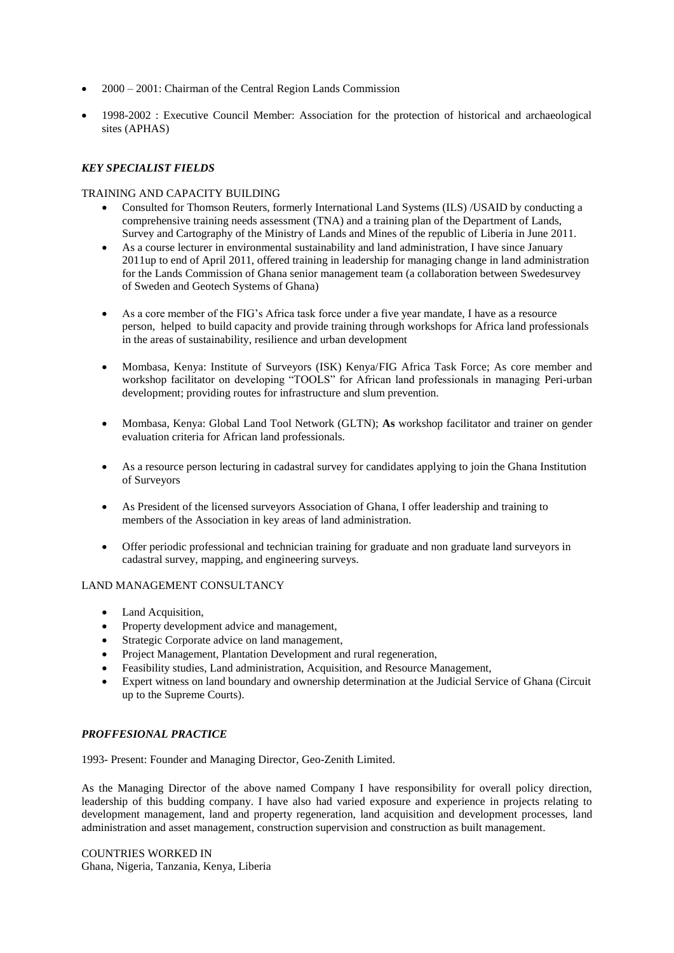- 2000 2001: Chairman of the Central Region Lands Commission
- 1998-2002 : Executive Council Member: Association for the protection of historical and archaeological sites (APHAS)

# *KEY SPECIALIST FIELDS*

# TRAINING AND CAPACITY BUILDING

- Consulted for Thomson Reuters, formerly International Land Systems (ILS) /USAID by conducting a comprehensive training needs assessment (TNA) and a training plan of the Department of Lands, Survey and Cartography of the Ministry of Lands and Mines of the republic of Liberia in June 2011.
- As a course lecturer in environmental sustainability and land administration, I have since January 2011up to end of April 2011, offered training in leadership for managing change in land administration for the Lands Commission of Ghana senior management team (a collaboration between Swedesurvey of Sweden and Geotech Systems of Ghana)
- As a core member of the FIG's Africa task force under a five year mandate, I have as a resource person, helped to build capacity and provide training through workshops for Africa land professionals in the areas of sustainability, resilience and urban development
- Mombasa, Kenya: Institute of Surveyors (ISK) Kenya/FIG Africa Task Force; As core member and workshop facilitator on developing "TOOLS" for African land professionals in managing Peri-urban development; providing routes for infrastructure and slum prevention.
- Mombasa, Kenya: Global Land Tool Network (GLTN); **As** workshop facilitator and trainer on gender evaluation criteria for African land professionals.
- As a resource person lecturing in cadastral survey for candidates applying to join the Ghana Institution of Surveyors
- As President of the licensed surveyors Association of Ghana, I offer leadership and training to members of the Association in key areas of land administration.
- Offer periodic professional and technician training for graduate and non graduate land surveyors in cadastral survey, mapping, and engineering surveys.

# LAND MANAGEMENT CONSULTANCY

- Land Acquisition,
- Property development advice and management,
- Strategic Corporate advice on land management,
- Project Management, Plantation Development and rural regeneration,
- Feasibility studies, Land administration, Acquisition, and Resource Management,
- Expert witness on land boundary and ownership determination at the Judicial Service of Ghana (Circuit up to the Supreme Courts).

# *PROFFESIONAL PRACTICE*

1993- Present: Founder and Managing Director, Geo-Zenith Limited.

As the Managing Director of the above named Company I have responsibility for overall policy direction, leadership of this budding company. I have also had varied exposure and experience in projects relating to development management, land and property regeneration, land acquisition and development processes, land administration and asset management, construction supervision and construction as built management.

COUNTRIES WORKED IN Ghana, Nigeria, Tanzania, Kenya, Liberia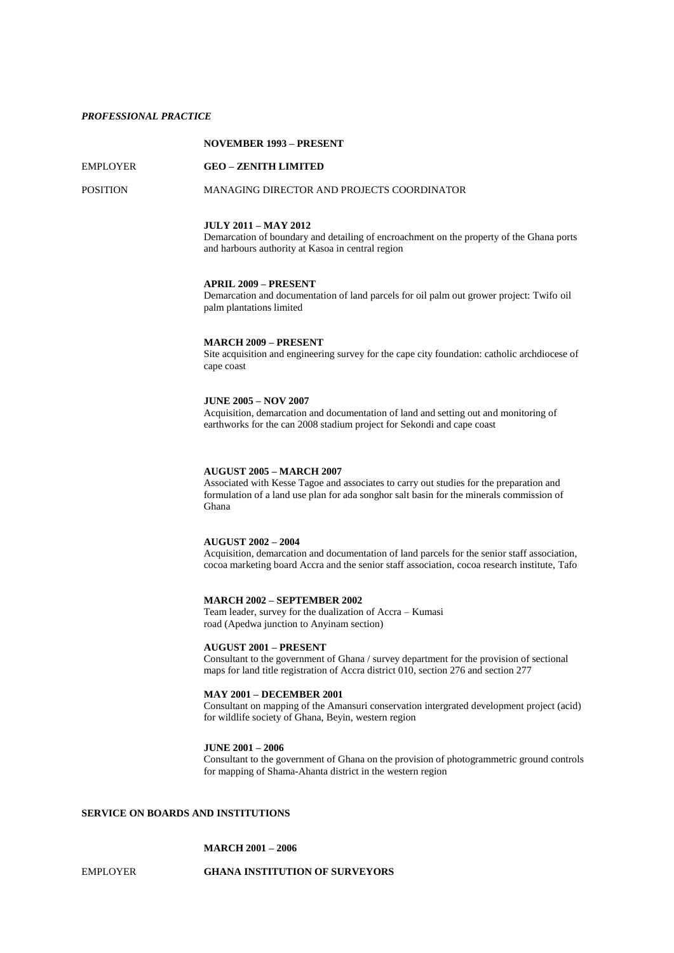## *PROFESSIONAL PRACTICE*

# **NOVEMBER 1993 – PRESENT**

## EMPLOYER **GEO – ZENITH LIMITED**

## POSITION MANAGING DIRECTOR AND PROJECTS COORDINATOR

#### **JULY 2011 – MAY 2012**

Demarcation of boundary and detailing of encroachment on the property of the Ghana ports and harbours authority at Kasoa in central region

#### **APRIL 2009 – PRESENT**

Demarcation and documentation of land parcels for oil palm out grower project: Twifo oil palm plantations limited

## **MARCH 2009 – PRESENT**

Site acquisition and engineering survey for the cape city foundation: catholic archdiocese of cape coast

## **JUNE 2005 – NOV 2007**

Acquisition, demarcation and documentation of land and setting out and monitoring of earthworks for the can 2008 stadium project for Sekondi and cape coast

## **AUGUST 2005 – MARCH 2007**

Associated with Kesse Tagoe and associates to carry out studies for the preparation and formulation of a land use plan for ada songhor salt basin for the minerals commission of Ghana

#### **AUGUST 2002 – 2004**

Acquisition, demarcation and documentation of land parcels for the senior staff association, cocoa marketing board Accra and the senior staff association, cocoa research institute, Tafo

## **MARCH 2002 – SEPTEMBER 2002**

Team leader, survey for the dualization of Accra – Kumasi road (Apedwa junction to Anyinam section)

#### **AUGUST 2001 – PRESENT**

Consultant to the government of Ghana / survey department for the provision of sectional maps for land title registration of Accra district 010, section 276 and section 277

## **MAY 2001 – DECEMBER 2001**

Consultant on mapping of the Amansuri conservation intergrated development project (acid) for wildlife society of Ghana, Beyin, western region

#### **JUNE 2001 – 2006**

Consultant to the government of Ghana on the provision of photogrammetric ground controls for mapping of Shama-Ahanta district in the western region

## **SERVICE ON BOARDS AND INSTITUTIONS**

# **MARCH 2001 – 2006**

## EMPLOYER **GHANA INSTITUTION OF SURVEYORS**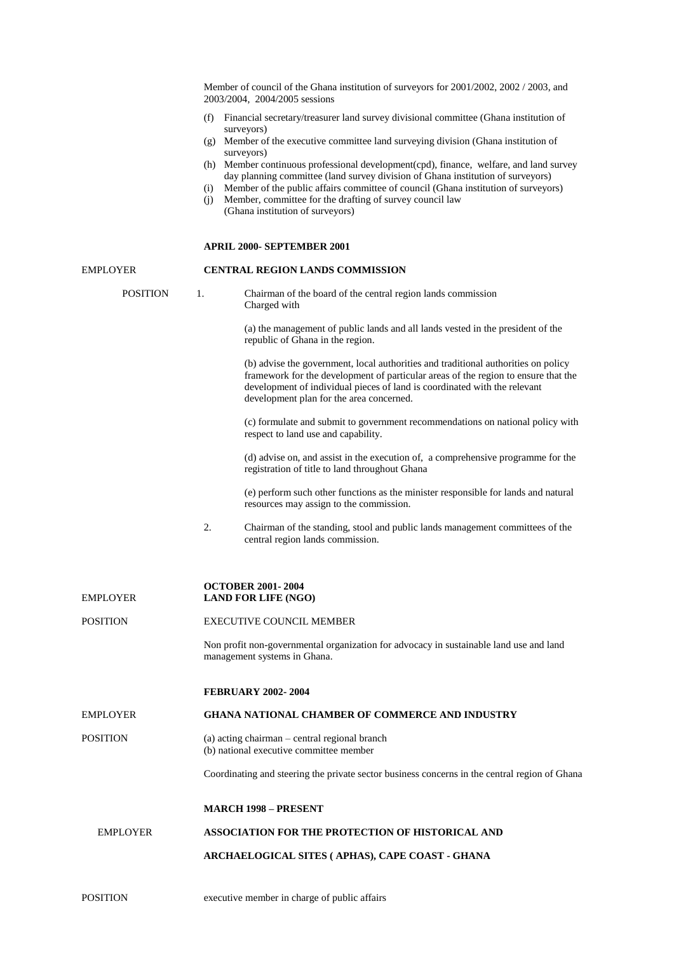|                 | Member of council of the Ghana institution of surveyors for 2001/2002, 2002 / 2003, and<br>2003/2004, 2004/2005 sessions                                                                                                                                                                                                                                                      |
|-----------------|-------------------------------------------------------------------------------------------------------------------------------------------------------------------------------------------------------------------------------------------------------------------------------------------------------------------------------------------------------------------------------|
|                 | (f) Financial secretary/treasurer land survey divisional committee (Ghana institution of                                                                                                                                                                                                                                                                                      |
|                 | surveyors)<br>(g) Member of the executive committee land surveying division (Ghana institution of<br>surveyors)                                                                                                                                                                                                                                                               |
|                 | (h) Member continuous professional development(cpd), finance, welfare, and land survey<br>day planning committee (land survey division of Ghana institution of surveyors)<br>Member of the public affairs committee of council (Ghana institution of surveyors)<br>(i)<br>Member, committee for the drafting of survey council law<br>(i)<br>(Ghana institution of surveyors) |
|                 | <b>APRIL 2000- SEPTEMBER 2001</b>                                                                                                                                                                                                                                                                                                                                             |
| EMPLOYER        | <b>CENTRAL REGION LANDS COMMISSION</b>                                                                                                                                                                                                                                                                                                                                        |
| <b>POSITION</b> | 1.<br>Chairman of the board of the central region lands commission<br>Charged with                                                                                                                                                                                                                                                                                            |
|                 | (a) the management of public lands and all lands vested in the president of the<br>republic of Ghana in the region.                                                                                                                                                                                                                                                           |
|                 | (b) advise the government, local authorities and traditional authorities on policy<br>framework for the development of particular areas of the region to ensure that the<br>development of individual pieces of land is coordinated with the relevant<br>development plan for the area concerned.                                                                             |
|                 | (c) formulate and submit to government recommendations on national policy with<br>respect to land use and capability.                                                                                                                                                                                                                                                         |
|                 | (d) advise on, and assist in the execution of, a comprehensive programme for the<br>registration of title to land throughout Ghana                                                                                                                                                                                                                                            |
|                 | (e) perform such other functions as the minister responsible for lands and natural<br>resources may assign to the commission.                                                                                                                                                                                                                                                 |
|                 | 2.<br>Chairman of the standing, stool and public lands management committees of the<br>central region lands commission.                                                                                                                                                                                                                                                       |
| EMPLOYER        | <b>OCTOBER 2001-2004</b><br><b>LAND FOR LIFE (NGO)</b>                                                                                                                                                                                                                                                                                                                        |
| POSITION        | <b>EXECUTIVE COUNCIL MEMBER</b>                                                                                                                                                                                                                                                                                                                                               |
|                 | Non profit non-governmental organization for advocacy in sustainable land use and land<br>management systems in Ghana.                                                                                                                                                                                                                                                        |
|                 | <b>FEBRUARY 2002-2004</b>                                                                                                                                                                                                                                                                                                                                                     |
| EMPLOYER        | <b>GHANA NATIONAL CHAMBER OF COMMERCE AND INDUSTRY</b>                                                                                                                                                                                                                                                                                                                        |
| POSITION        | (a) acting chairman – central regional branch<br>(b) national executive committee member                                                                                                                                                                                                                                                                                      |
|                 | Coordinating and steering the private sector business concerns in the central region of Ghana                                                                                                                                                                                                                                                                                 |
|                 | <b>MARCH 1998 – PRESENT</b>                                                                                                                                                                                                                                                                                                                                                   |
| <b>EMPLOYER</b> | ASSOCIATION FOR THE PROTECTION OF HISTORICAL AND                                                                                                                                                                                                                                                                                                                              |
|                 | ARCHAELOGICAL SITES ( APHAS), CAPE COAST - GHANA                                                                                                                                                                                                                                                                                                                              |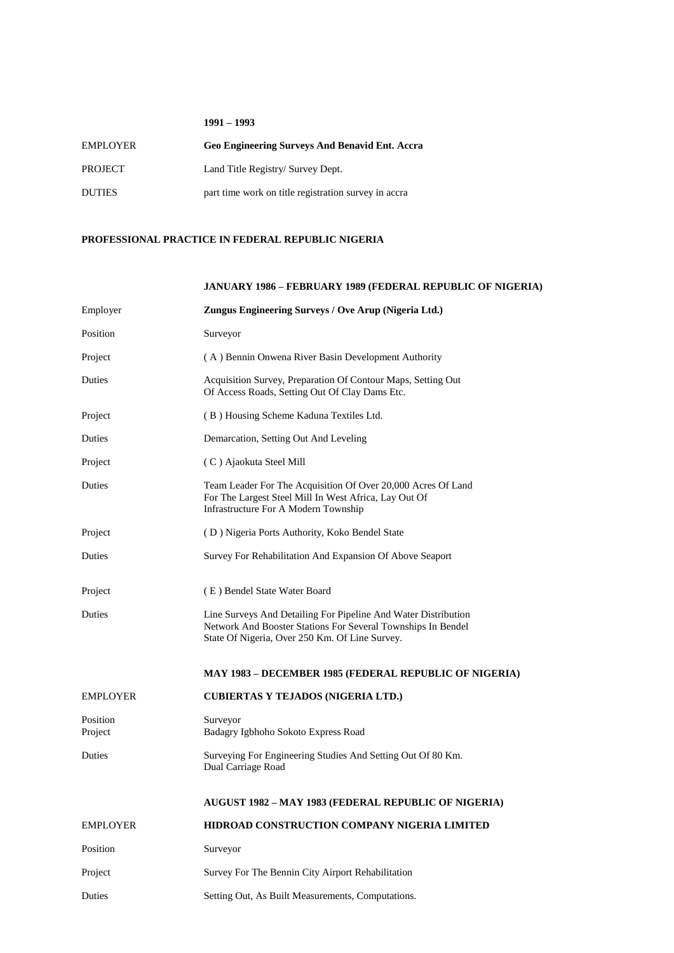## **1991 – 1993**

| <b>EMPLOYER</b> | <b>Geo Engineering Surveys And Benavid Ent. Accra</b> |
|-----------------|-------------------------------------------------------|
| <b>PROJECT</b>  | Land Title Registry/ Survey Dept.                     |
| <b>DUTIES</b>   | part time work on title registration survey in accra  |

## **PROFESSIONAL PRACTICE IN FEDERAL REPUBLIC NIGERIA**

# **JANUARY 1986 – FEBRUARY 1989 (FEDERAL REPUBLIC OF NIGERIA)** Employer **Zungus Engineering Surveys / Ove Arup (Nigeria Ltd.)** Position Surveyor Project (A) Bennin Onwena River Basin Development Authority Duties Acquisition Survey, Preparation Of Contour Maps, Setting Out Of Access Roads, Setting Out Of Clay Dams Etc. Project (B) Housing Scheme Kaduna Textiles Ltd. Duties Demarcation, Setting Out And Leveling Project (C) Ajaokuta Steel Mill Duties Team Leader For The Acquisition Of Over 20,000 Acres Of Land For The Largest Steel Mill In West Africa, Lay Out Of Infrastructure For A Modern Township Project ( D ) Nigeria Ports Authority, Koko Bendel State Duties Survey For Rehabilitation And Expansion Of Above Seaport Project (E) Bendel State Water Board Duties Line Surveys And Detailing For Pipeline And Water Distribution Network And Booster Stations For Several Townships In Bendel State Of Nigeria, Over 250 Km. Of Line Survey. **MAY 1983 – DECEMBER 1985 (FEDERAL REPUBLIC OF NIGERIA)** EMPLOYER **CUBIERTAS Y TEJADOS (NIGERIA LTD.)** Position Surveyor Project Badagry Igbhoho Sokoto Express Road Duties Surveying For Engineering Studies And Setting Out Of 80 Km. Dual Carriage Road

# **AUGUST 1982 – MAY 1983 (FEDERAL REPUBLIC OF NIGERIA)**

| <b>EMPLOYER</b> | <b>HIDROAD CONSTRUCTION COMPANY NIGERIA LIMITED</b> |
|-----------------|-----------------------------------------------------|
| Position        | Surveyor                                            |
| Project         | Survey For The Bennin City Airport Rehabilitation   |
| Duties          | Setting Out, As Built Measurements, Computations.   |